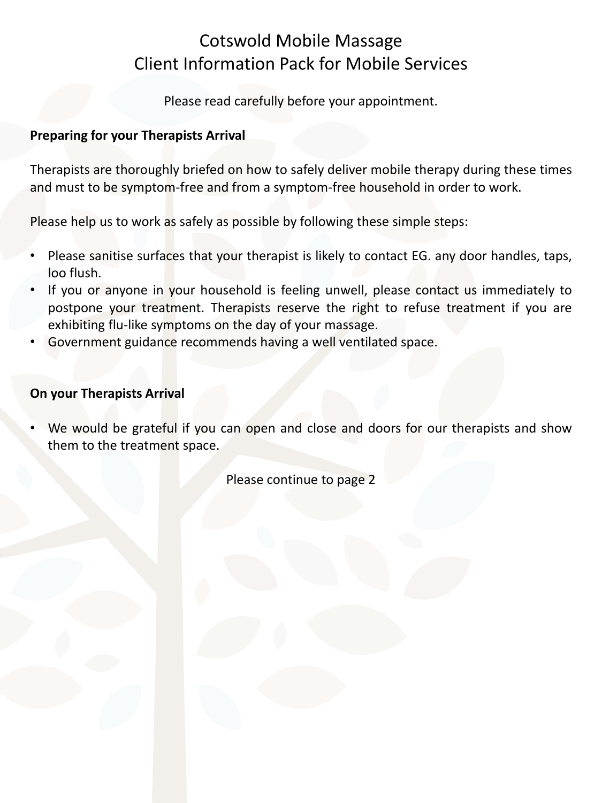# Cotswold Mobile Massage Client Information Pack for Mobile Services

Please read carefully before your appointment.

### **Preparing for your Therapists Arrival**

Therapists are thoroughly briefed on how to safely deliver mobile therapy during these times and must to be symptom-free and from a symptom-free household in order to work.

Please help us to work as safely as possible by following these simple steps:

- Please sanitise surfaces that your therapist is likely to contact EG. any door handles, taps, loo flush.
- If you or anyone in your household is feeling unwell, please contact us immediately to postpone your treatment. Therapists reserve the right to refuse treatment if you are exhibiting flu-like symptoms on the day of your massage.
- Government guidance recommends having a well ventilated space.

### **On your Therapists Arrival**

We would be grateful if you can open and close and doors for our therapists and show them to the treatment space.

Please continue to page 2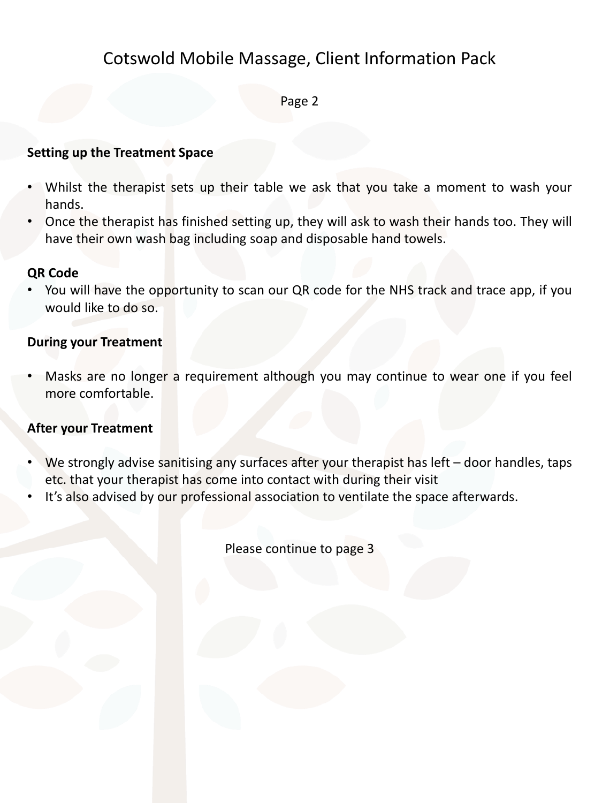## Cotswold Mobile Massage, Client Information Pack

Page 2

### **Setting up the Treatment Space**

- Whilst the therapist sets up their table we ask that you take a moment to wash your hands.
- Once the therapist has finished setting up, they will ask to wash their hands too. They will have their own wash bag including soap and disposable hand towels.

### **QR Code**

• You will have the opportunity to scan our QR code for the NHS track and trace app, if you would like to do so.

### **During your Treatment**

Masks are no longer a requirement although you may continue to wear one if you feel more comfortable.

### **After your Treatment**

- We strongly advise sanitising any surfaces after your therapist has left door handles, taps etc. that your therapist has come into contact with during their visit
- It's also advised by our professional association to ventilate the space afterwards.

Please continue to page 3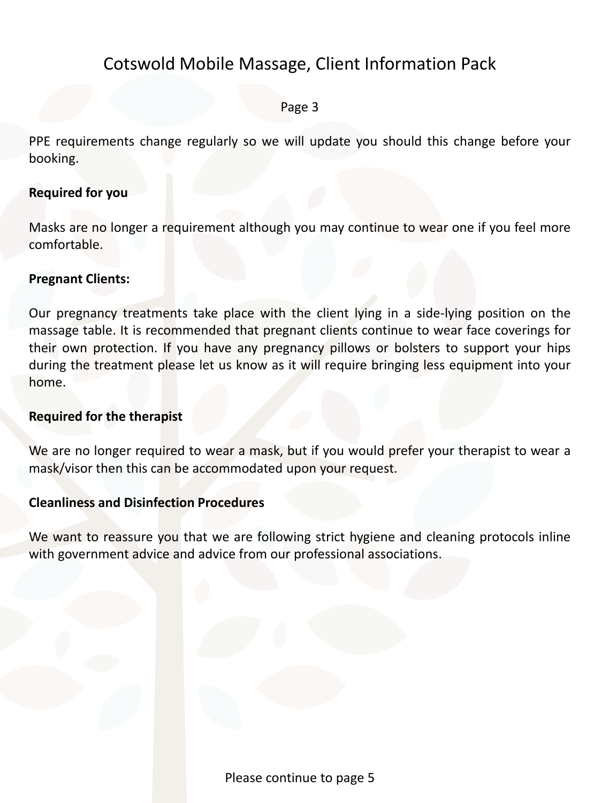## Cotswold Mobile Massage, Client Information Pack

### Page 3

PPE requirements change regularly so we will update you should this change before your booking.

### **Required for you**

Masks are no longer a requirement although you may continue to wear one if you feel more comfortable.

### **Pregnant Clients:**

Our pregnancy treatments take place with the client lying in a side-lying position on the massage table. It is recommended that pregnant clients continue to wear face coverings for their own protection. If you have any pregnancy pillows or bolsters to support your hips during the treatment please let us know as it will require bringing less equipment into your home.

#### **Required for the therapist**

We are no longer required to wear a mask, but if you would prefer your therapist to wear a mask/visor then this can be accommodated upon your request.

#### **Cleanliness and Disinfection Procedures**

We want to reassure you that we are following strict hygiene and cleaning protocols inline with government advice and advice from our professional associations.